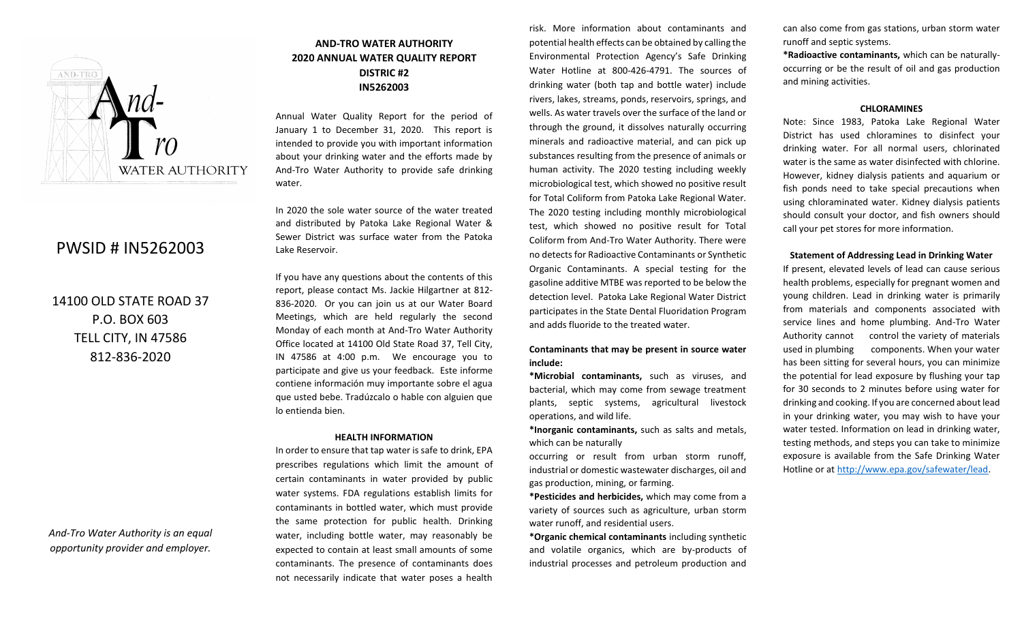

# PWSID # IN5262003

14100 OLD STATE ROAD 37 P.O. BOX 603 TELL CITY, IN 47586 812-836-2020

*And-Tro Water Authority is an equal opportunity provider and employer.*

# **AND-TRO WATER AUTHORITY 2020 ANNUAL WATER QUALITY REPORT DISTRIC #2 IN5262003**

Annual Water Quality Report for the period of January 1 to December 31, 2020. This report is intended to provide you with important information about your drinking water and the efforts made by And-Tro Water Authority to provide safe drinking water.

In 2020 the sole water source of the water treated and distributed by Patoka Lake Regional Water & Sewer District was surface water from the Patoka Lake Reservoir.

If you have any questions about the contents of this report, please contact Ms. Jackie Hilgartner at 812- 836-2020. Or you can join us at our Water Board Meetings, which are held regularly the second Monday of each month at And-Tro Water Authority Office located at 14100 Old State Road 37, Tell City, IN 47586 at 4:00 p.m. We encourage you to participate and give us your feedback. Este informe contiene información muy importante sobre el agua que usted bebe. Tradúzcalo o hable con alguien que lo entienda bien.

#### **HEALTH INFORMATION**

In order to ensure that tap water is safe to drink, EPA prescribes regulations which limit the amount of certain contaminants in water provided by public water systems. FDA regulations establish limits for contaminants in bottled water, which must provide the same protection for public health. Drinking water, including bottle water, may reasonably be expected to contain at least small amounts of some contaminants. The presence of contaminants does not necessarily indicate that water poses a health

risk. More information about contaminants and potential health effects can be obtained by calling the Environmental Protection Agency's Safe Drinking Water Hotline at 800-426-4791. The sources of drinking water (both tap and bottle water) include rivers, lakes, streams, ponds, reservoirs, springs, and wells. As water travels over the surface of the land or through the ground, it dissolves naturally occurring minerals and radioactive material, and can pick up substances resulting from the presence of animals or human activity. The 2020 testing including weekly microbiological test, which showed no positive result for Total Coliform from Patoka Lake Regional Water. The 2020 testing including monthly microbiological test, which showed no positive result for Total Coliform from And-Tro Water Authority. There were no detects for Radioactive Contaminants or Synthetic Organic Contaminants. A special testing for the gasoline additive MTBE was reported to be below the detection level. Patoka Lake Regional Water District participates in the State Dental Fluoridation Program and adds fluoride to the treated water.

#### **Contaminants that may be present in source water include:**

**\*Microbial contaminants,** such as viruses, and bacterial, which may come from sewage treatment plants, septic systems, agricultural livestock operations, and wild life.

**\*Inorganic contaminants,** such as salts and metals, which can be naturally

occurring or result from urban storm runoff, industrial or domestic wastewater discharges, oil and gas production, mining, or farming.

**\*Pesticides and herbicides,** which may come from a variety of sources such as agriculture, urban storm water runoff, and residential users.

**\*Organic chemical contaminants** including synthetic and volatile organics, which are by-products of industrial processes and petroleum production and

can also come from gas stations, urban storm water runoff and septic systems.

**\*Radioactive contaminants,** which can be naturallyoccurring or be the result of oil and gas production and mining activities.

#### **CHLORAMINES**

Note: Since 1983, Patoka Lake Regional Water District has used chloramines to disinfect your drinking water. For all normal users, chlorinated water is the same as water disinfected with chlorine. However, kidney dialysis patients and aquarium or fish ponds need to take special precautions when using chloraminated water. Kidney dialysis patients should consult your doctor, and fish owners should call your pet stores for more information.

#### **Statement of Addressing Lead in Drinking Water**

If present, elevated levels of lead can cause serious health problems, especially for pregnant women and young children. Lead in drinking water is primarily from materials and components associated with service lines and home plumbing. And-Tro Water Authority cannot control the variety of materials used in plumbing components. When your water has been sitting for several hours, you can minimize the potential for lead exposure by flushing your tap for 30 seconds to 2 minutes before using water for drinking and cooking. If you are concerned about lead in your drinking water, you may wish to have your water tested. Information on lead in drinking water, testing methods, and steps you can take to minimize exposure is available from the Safe Drinking Water Hotline or at [http://www.epa.gov/safewater/lead.](http://www.epa.gov/safewater/lead)